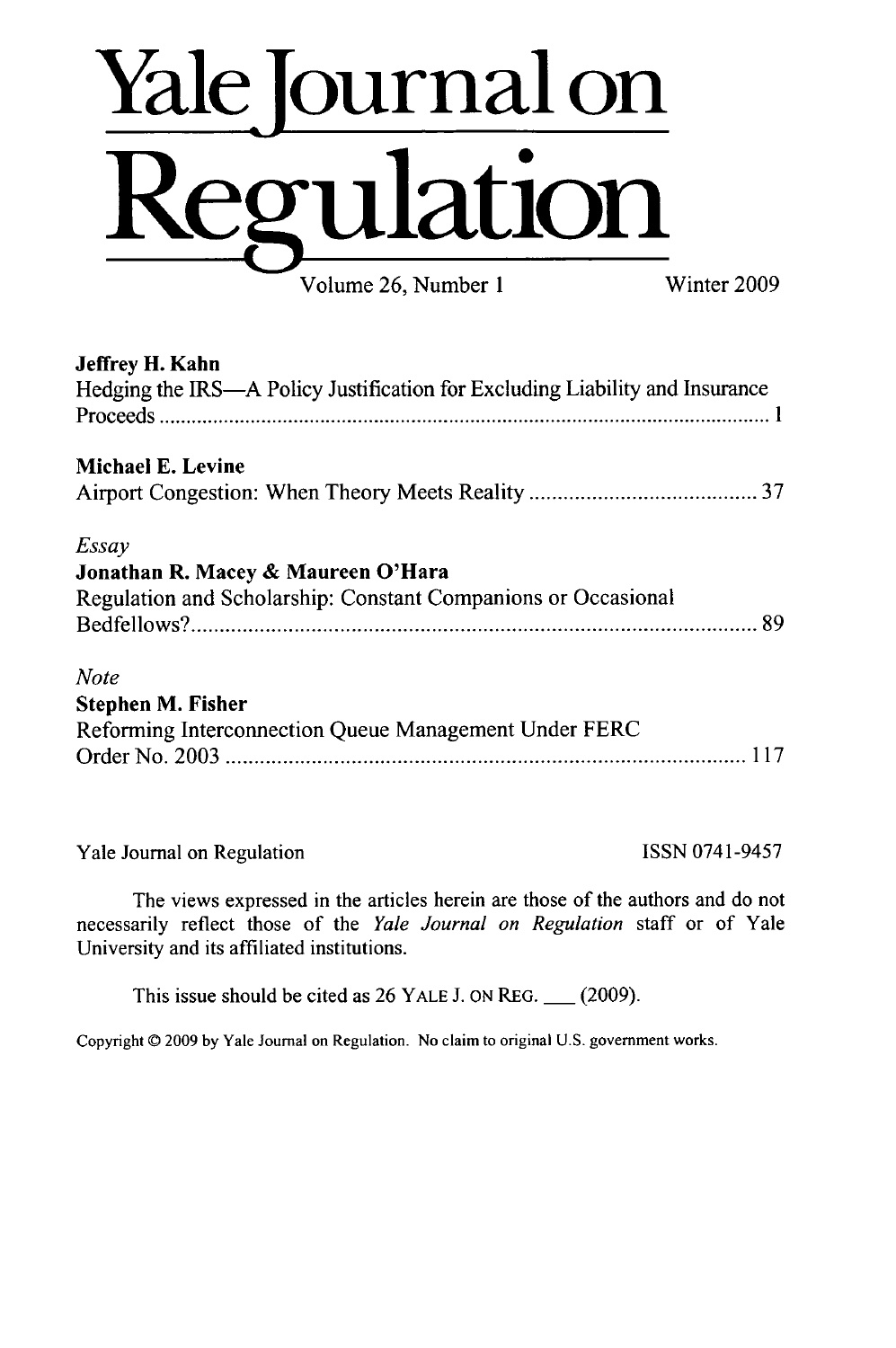# **Yalejournal on Regulation** Volume 26, Number 1 Winter 2009

**Jeffrey H. Kahn** Hedging the IRS-A Policy Justification for Excluding Liability and Insurance P ro ceed s **.................................................................................................................. 1** Michael **E.** Levine Airport Congestion: When Theory Meets Reality **................................... 37** *Essay* **Jonathan R. Macey & Maureen O'Hara** Regulation and Scholarship: Constant Companions or Occasional B edfellow **s? .................................................. ......................................... . . . 89** *Note* Stephen M. Fisher Reforming Interconnection Queue Management Under FERC O rder N o. 2003 **........................................................................................... 117**

Yale Journal on Regulation ISSN 0741-9457

The views expressed in the articles herein are those of the authors and do not necessarily reflect those of the *Yale Journal on Regulation* staff or of Yale University and its affiliated institutions.

This issue should be cited as 26 YALE J. ON REG. \_\_ **(2009).**

Copyright © 2009 by Yale Journal on Regulation. No claim to original U.S. government works.